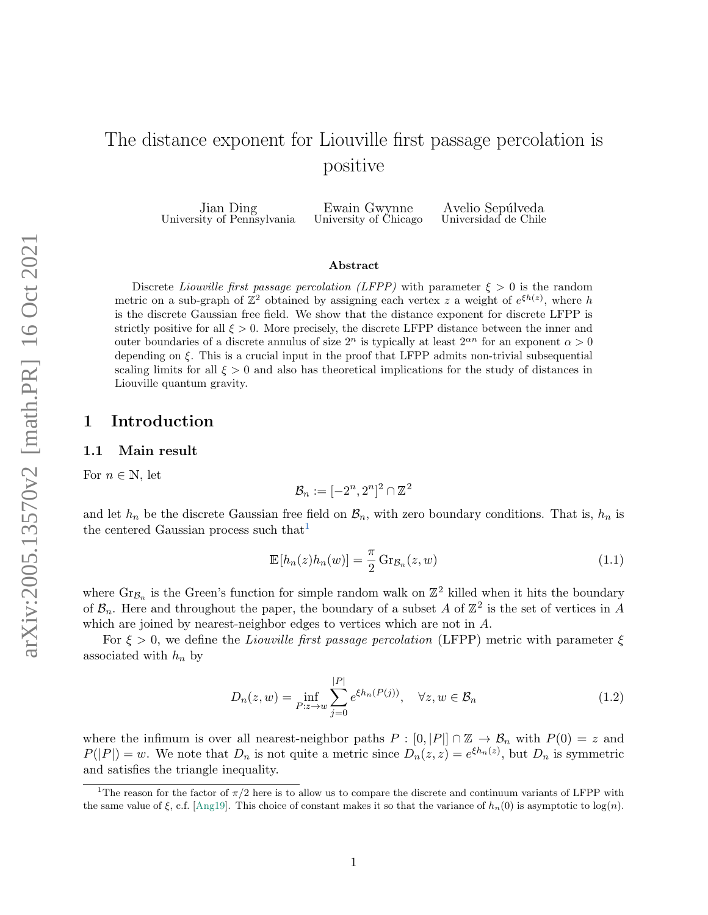# The distance exponent for Liouville first passage percolation is positive

Jian Ding University of Pennsylvania

Ewain Gwynne University of Chicago

Avelio Sepúlveda Universidad de Chile

#### Abstract

Discrete Liouville first passage percolation (LFPP) with parameter  $\xi > 0$  is the random metric on a sub-graph of  $\mathbb{Z}^2$  obtained by assigning each vertex z a weight of  $e^{\xi h(z)}$ , where h is the discrete Gaussian free field. We show that the distance exponent for discrete LFPP is strictly positive for all  $\xi > 0$ . More precisely, the discrete LFPP distance between the inner and outer boundaries of a discrete annulus of size  $2^n$  is typically at least  $2^{\alpha n}$  for an exponent  $\alpha > 0$ depending on ξ. This is a crucial input in the proof that LFPP admits non-trivial subsequential scaling limits for all  $\xi > 0$  and also has theoretical implications for the study of distances in Liouville quantum gravity.

## 1 Introduction

### <span id="page-0-1"></span>1.1 Main result

For  $n \in \mathbb{N}$ , let

<span id="page-0-2"></span>
$$
\mathcal{B}_n := [-2^n, 2^n]^2 \cap \mathbb{Z}^2
$$

and let  $h_n$  be the discrete Gaussian free field on  $\mathcal{B}_n$ , with zero boundary conditions. That is,  $h_n$  is the centered Gaussian process such that  $\pm$ 

$$
\mathbb{E}[h_n(z)h_n(w)] = \frac{\pi}{2} \operatorname{Gr}_{\mathcal{B}_n}(z, w)
$$
\n(1.1)

where  $\text{Gr}_{\mathcal{B}_n}$  is the Green's function for simple random walk on  $\mathbb{Z}^2$  killed when it hits the boundary of  $\mathcal{B}_n$ . Here and throughout the paper, the boundary of a subset A of  $\mathbb{Z}^2$  is the set of vertices in A which are joined by nearest-neighbor edges to vertices which are not in A.

For  $\xi > 0$ , we define the Liouville first passage percolation (LFPP) metric with parameter  $\xi$ associated with  $h_n$  by

<span id="page-0-3"></span>
$$
D_n(z, w) = \inf_{P: z \to w} \sum_{j=0}^{|P|} e^{\xi h_n(P(j))}, \quad \forall z, w \in \mathcal{B}_n
$$
 (1.2)

where the infimum is over all nearest-neighbor paths  $P : [0, |P|] \cap \mathbb{Z} \to \mathcal{B}_n$  with  $P(0) = z$  and  $P(|P|) = w$ . We note that  $D_n$  is not quite a metric since  $D_n(z, z) = e^{\xi h_n(z)}$ , but  $D_n$  is symmetric and satisfies the triangle inequality.

<span id="page-0-0"></span><sup>&</sup>lt;sup>1</sup>The reason for the factor of  $\pi/2$  here is to allow us to compare the discrete and continuum variants of LFPP with the same value of  $\xi$ , c.f. [\[Ang19\]](#page-12-0). This choice of constant makes it so that the variance of  $h_n(0)$  is asymptotic to log(n).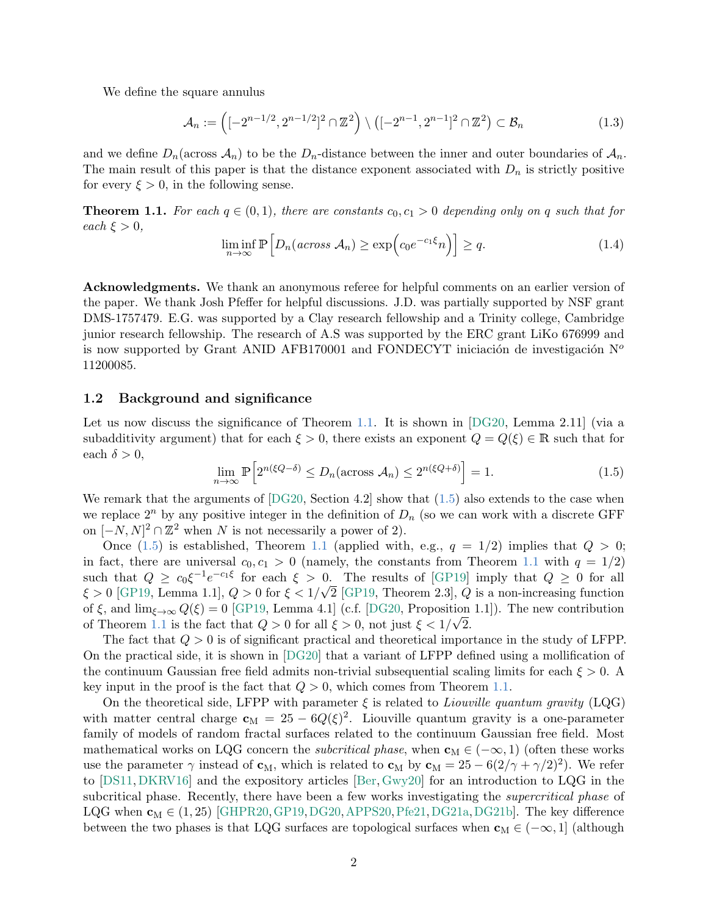We define the square annulus

$$
\mathcal{A}_n := \left( [-2^{n-1/2}, 2^{n-1/2}]^2 \cap \mathbb{Z}^2 \right) \setminus \left( [-2^{n-1}, 2^{n-1}]^2 \cap \mathbb{Z}^2 \right) \subset \mathcal{B}_n \tag{1.3}
$$

and we define  $D_n$  (across  $\mathcal{A}_n$ ) to be the  $D_n$ -distance between the inner and outer boundaries of  $\mathcal{A}_n$ . The main result of this paper is that the distance exponent associated with  $D_n$  is strictly positive for every  $\xi > 0$ , in the following sense.

<span id="page-1-2"></span><span id="page-1-0"></span>**Theorem 1.1.** For each  $q \in (0,1)$ , there are constants  $c_0, c_1 > 0$  depending only on q such that for each  $\xi > 0$ ,

$$
\liminf_{n \to \infty} \mathbb{P}\Big[D_n(\text{across } \mathcal{A}_n) \ge \exp\Big(c_0 e^{-c_1 \xi} n\Big)\Big] \ge q. \tag{1.4}
$$

Acknowledgments. We thank an anonymous referee for helpful comments on an earlier version of the paper. We thank Josh Pfeffer for helpful discussions. J.D. was partially supported by NSF grant DMS-1757479. E.G. was supported by a Clay research fellowship and a Trinity college, Cambridge junior research fellowship. The research of A.S was supported by the ERC grant LiKo 676999 and is now supported by Grant ANID AFB170001 and FONDECYT iniciación de investigación  $N^{\circ}$ 11200085.

## 1.2 Background and significance

Let us now discuss the significance of Theorem [1.1.](#page-1-0) It is shown in [\[DG20,](#page-13-0) Lemma 2.11] (via a subadditivity argument) that for each  $\xi > 0$ , there exists an exponent  $Q = Q(\xi) \in \mathbb{R}$  such that for each  $\delta > 0$ ,

<span id="page-1-1"></span>
$$
\lim_{n \to \infty} \mathbb{P}\left[2^{n(\xi Q - \delta)} \le D_n(\arccos \mathcal{A}_n) \le 2^{n(\xi Q + \delta)}\right] = 1. \tag{1.5}
$$

We remark that the arguments of  $[DG20, Section 4.2]$  show that  $(1.5)$  also extends to the case when we replace  $2^n$  by any positive integer in the definition of  $D_n$  (so we can work with a discrete GFF on  $[-N, N]^2 \cap \mathbb{Z}^2$  when N is not necessarily a power of 2).

Once [\(1.5\)](#page-1-1) is established, Theorem [1.1](#page-1-0) (applied with, e.g.,  $q = 1/2$ ) implies that  $Q > 0$ ; in fact, there are universal  $c_0, c_1 > 0$  (namely, the constants from Theorem [1.1](#page-1-0) with  $q = 1/2$ ) such that  $Q \geq c_0 \xi^{-1} e^{-c_1 \xi}$  for each  $\xi > 0$ . The results of [\[GP19\]](#page-13-1) imply that  $Q \geq 0$  for all  $\xi > 0$  [\[GP19,](#page-13-1) Lemma 1.1],  $Q > 0$  for  $\xi < 1/\sqrt{2}$  [\[GP19,](#page-13-1) Theorem 2.3],  $Q$  is a non-increasing function of  $\xi$ , and  $\lim_{\xi \to \infty} Q(\xi) = 0$  [\[GP19,](#page-13-1) Lemma 4.1] (c.f. [\[DG20,](#page-13-0) Proposition 1.1]). The new contribution of Theorem [1.1](#page-1-0) is the fact that  $Q > 0$  for all  $\xi > 0$ , not just  $\xi < 1/\sqrt{2}$ .

The fact that  $Q > 0$  is of significant practical and theoretical importance in the study of LFPP. On the practical side, it is shown in [\[DG20\]](#page-13-0) that a variant of LFPP defined using a mollification of the continuum Gaussian free field admits non-trivial subsequential scaling limits for each  $\xi > 0$ . key input in the proof is the fact that  $Q > 0$ , which comes from Theorem [1.1.](#page-1-0)

On the theoretical side, LFPP with parameter  $\xi$  is related to *Liouville quantum gravity* (LQG) with matter central charge  $c_M = 25 - 6Q(\xi)^2$ . Liouville quantum gravity is a one-parameter family of models of random fractal surfaces related to the continuum Gaussian free field. Most mathematical works on LQG concern the *subcritical phase*, when  $\mathbf{c}_M \in (-\infty, 1)$  (often these works use the parameter  $\gamma$  instead of  $\mathbf{c}_M$ , which is related to  $\mathbf{c}_M$  by  $\mathbf{c}_M = 25 - 6(2/\gamma + \gamma/2)^2$ . We refer to [\[DS11,](#page-13-2)[DKRV16\]](#page-13-3) and the expository articles [\[Ber,](#page-12-1)[Gwy20\]](#page-13-4) for an introduction to LQG in the subcritical phase. Recently, there have been a few works investigating the *supercritical phase* of LQG when  $c_M \in (1, 25)$  [\[GHPR20,](#page-13-5) [GP19,](#page-13-1) [DG20,](#page-13-0) [APPS20,](#page-12-2) [Pfe21,](#page-14-0) [DG21a,](#page-13-6) [DG21b\]](#page-13-7). The key difference between the two phases is that LQG surfaces are topological surfaces when  $\mathbf{c}_M \in (-\infty, 1]$  (although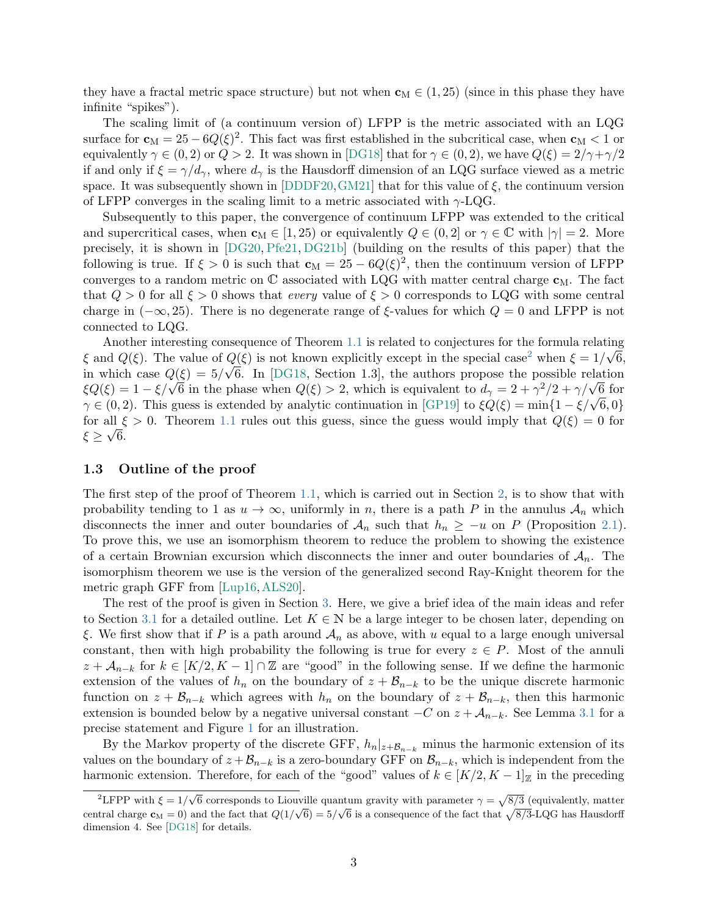they have a fractal metric space structure) but not when  $\mathbf{c}_M \in (1, 25)$  (since in this phase they have infinite "spikes").

The scaling limit of (a continuum version of) LFPP is the metric associated with an LQG surface for  $\mathbf{c}_M = 25 - 6Q(\xi)^2$ . This fact was first established in the subcritical case, when  $\mathbf{c}_M < 1$  or equivalently  $\gamma \in (0, 2)$  or  $Q > 2$ . It was shown in [\[DG18\]](#page-13-8) that for  $\gamma \in (0, 2)$ , we have  $Q(\xi) = 2/\gamma + \gamma/2$ if and only if  $\xi = \gamma/d_{\gamma}$ , where  $d_{\gamma}$  is the Hausdorff dimension of an LQG surface viewed as a metric space. It was subsequently shown in [\[DDDF20,](#page-13-9) [GM21\]](#page-13-10) that for this value of  $\xi$ , the continuum version of LFPP converges in the scaling limit to a metric associated with  $\gamma$ -LQG.

Subsequently to this paper, the convergence of continuum LFPP was extended to the critical and supercritical cases, when  $\mathbf{c}_M \in (1, 25)$  or equivalently  $Q \in (0, 2]$  or  $\gamma \in \mathbb{C}$  with  $|\gamma| = 2$ . More precisely, it is shown in [\[DG20,](#page-13-0) [Pfe21,](#page-14-0) [DG21b\]](#page-13-7) (building on the results of this paper) that the following is true. If  $\xi > 0$  is such that  $\mathbf{c}_M = 25 - 6Q(\xi)^2$ , then the continuum version of LFPP converges to a random metric on  $\mathbb C$  associated with LQG with matter central charge  $c_M$ . The fact that  $Q > 0$  for all  $\xi > 0$  shows that every value of  $\xi > 0$  corresponds to LQG with some central charge in  $(-\infty, 25)$ . There is no degenerate range of  $\xi$ -values for which  $Q = 0$  and LFPP is not connected to LQG.

Another interesting consequence of Theorem [1.1](#page-1-0) is related to conjectures for the formula relating  $\sqrt{2}$  $\xi$  and  $Q(\xi)$ . The value of  $Q(\xi)$  is not known explicitly except in the special case<sup>[2](#page-2-0)</sup> when  $\xi = 1/\sqrt{6}$ , in which case  $Q(\xi) = 5/\sqrt{6}$ . In [\[DG18,](#page-13-8) Section 1.3], the authors propose the possible relation in which case  $Q(\xi) = 3/\sqrt{6}$ . In [DG18, Section 1.3], the authors propose the possible relation  $\xi Q(\xi) = 1 - \xi/\sqrt{6}$  in the phase when  $Q(\xi) > 2$ , which is equivalent to  $d_{\gamma} = 2 + \gamma^2/2 + \gamma/\sqrt{6}$  for  $\zeta \mathcal{Q}(\zeta) = 1 - \zeta/\sqrt{6}$  in the phase when  $\mathcal{Q}(\zeta) > 2$ , which is equivalent to  $a_{\gamma} = 2 + \gamma'/2 + \gamma/\sqrt{6}$  for  $\gamma \in (0, 2)$ . This guess is extended by analytic continuation in [\[GP19\]](#page-13-1) to  $\zeta \mathcal{Q}(\zeta) = \min\{1 - \zeta/\sqrt{6}, 0\$ for all  $\xi > 0$ . Theorem [1.1](#page-1-0) rules out this guess, since the guess would imply that  $Q(\xi) = 0$  for  $\xi \geq \sqrt{6}$ .

## 1.3 Outline of the proof

The first step of the proof of Theorem [1.1,](#page-1-0) which is carried out in Section [2,](#page-3-0) is to show that with probability tending to 1 as  $u \to \infty$ , uniformly in n, there is a path P in the annulus  $A_n$  which disconnects the inner and outer boundaries of  $\mathcal{A}_n$  such that  $h_n \geq -u$  on P (Proposition [2.1\)](#page-4-0). To prove this, we use an isomorphism theorem to reduce the problem to showing the existence of a certain Brownian excursion which disconnects the inner and outer boundaries of  $\mathcal{A}_n$ . The isomorphism theorem we use is the version of the generalized second Ray-Knight theorem for the metric graph GFF from [\[Lup16,](#page-13-11)[ALS20\]](#page-12-3).

The rest of the proof is given in Section [3.](#page-5-0) Here, we give a brief idea of the main ideas and refer to Section [3.1](#page-5-1) for a detailed outline. Let  $K \in \mathbb{N}$  be a large integer to be chosen later, depending on ξ. We first show that if P is a path around  $\mathcal{A}_n$  as above, with u equal to a large enough universal constant, then with high probability the following is true for every  $z \in P$ . Most of the annuli  $z + A_{n-k}$  for  $k \in [K/2, K-1] \cap \mathbb{Z}$  are "good" in the following sense. If we define the harmonic extension of the values of  $h_n$  on the boundary of  $z + \mathcal{B}_{n-k}$  to be the unique discrete harmonic function on  $z + \mathcal{B}_{n-k}$  which agrees with  $h_n$  on the boundary of  $z + \mathcal{B}_{n-k}$ , then this harmonic extension is bounded below by a negative universal constant  $-C$  on  $z + A_{n-k}$ . See Lemma [3.1](#page-6-0) for a precise statement and Figure [1](#page-3-1) for an illustration.

By the Markov property of the discrete GFF,  $h_n|_{z+\mathcal{B}_{n-k}}$  minus the harmonic extension of its values on the boundary of  $z + \mathcal{B}_{n-k}$  is a zero-boundary GFF on  $\mathcal{B}_{n-k}$ , which is independent from the harmonic extension. Therefore, for each of the "good" values of  $k \in [K/2, K-1]_{\mathbb{Z}}$  in the preceding

<span id="page-2-0"></span><sup>&</sup>lt;sup>2</sup>LFPP with  $\xi = 1/\sqrt{6}$  corresponds to Liouville quantum gravity with parameter  $\gamma = \sqrt{8/3}$  (equivalently, matter central charge  $\mathbf{c}_M = 0$ ) and the fact that  $Q(1/\sqrt{6}) = 5/\sqrt{6}$  is a consequence of the fact that  $\sqrt{8/3}$ -LQG has Hausdorff dimension 4. See [\[DG18\]](#page-13-8) for details.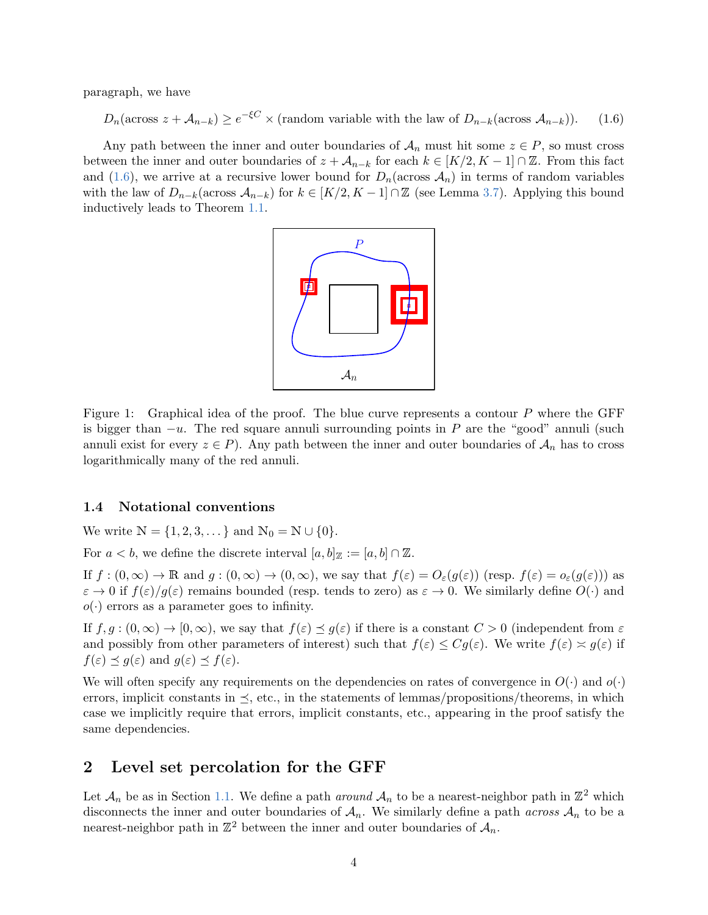paragraph, we have

<span id="page-3-2"></span> $D_n(\arccos z + A_{n-k}) \ge e^{-\xi C} \times (\text{random variable with the law of } D_{n-k}(\arccos A_{n-k}))$ . (1.6)

Any path between the inner and outer boundaries of  $A_n$  must hit some  $z \in P$ , so must cross between the inner and outer boundaries of  $z + A_{n-k}$  for each  $k \in [K/2, K-1] \cap \mathbb{Z}$ . From this fact and [\(1.6\)](#page-3-2), we arrive at a recursive lower bound for  $D_n(\arccos A_n)$  in terms of random variables with the law of  $D_{n-k}(\arccos A_{n-k})$  for  $k \in [K/2, K-1] \cap \mathbb{Z}$  (see Lemma [3.7\)](#page-10-0). Applying this bound inductively leads to Theorem [1.1.](#page-1-0)



<span id="page-3-1"></span>Figure 1: Graphical idea of the proof. The blue curve represents a contour P where the GFF is bigger than  $-u$ . The red square annuli surrounding points in P are the "good" annuli (such annuli exist for every  $z \in P$ ). Any path between the inner and outer boundaries of  $\mathcal{A}_n$  has to cross logarithmically many of the red annuli.

## 1.4 Notational conventions

We write  $N = \{1, 2, 3, ...\}$  and  $N_0 = N \cup \{0\}.$ 

For  $a < b$ , we define the discrete interval  $[a, b]_{\mathbb{Z}} := [a, b] \cap \mathbb{Z}$ .

If  $f:(0,\infty) \to \mathbb{R}$  and  $g:(0,\infty) \to (0,\infty)$ , we say that  $f(\varepsilon) = O_{\varepsilon}(g(\varepsilon))$  (resp.  $f(\varepsilon) = o_{\varepsilon}(g(\varepsilon))$ ) as  $\varepsilon \to 0$  if  $f(\varepsilon)/g(\varepsilon)$  remains bounded (resp. tends to zero) as  $\varepsilon \to 0$ . We similarly define  $O(\cdot)$  and  $o(\cdot)$  errors as a parameter goes to infinity.

If  $f, g : (0, \infty) \to [0, \infty)$ , we say that  $f(\varepsilon) \preceq g(\varepsilon)$  if there is a constant  $C > 0$  (independent from  $\varepsilon$ and possibly from other parameters of interest) such that  $f(\varepsilon) \leq Cg(\varepsilon)$ . We write  $f(\varepsilon) \approx g(\varepsilon)$  if  $f(\varepsilon) \preceq g(\varepsilon)$  and  $g(\varepsilon) \preceq f(\varepsilon)$ .

We will often specify any requirements on the dependencies on rates of convergence in  $O(\cdot)$  and  $o(\cdot)$ errors, implicit constants in  $\preceq$ , etc., in the statements of lemmas/propositions/theorems, in which case we implicitly require that errors, implicit constants, etc., appearing in the proof satisfy the same dependencies.

## <span id="page-3-0"></span>2 Level set percolation for the GFF

Let  $\mathcal{A}_n$  be as in Section [1.1.](#page-0-1) We define a path *around*  $\mathcal{A}_n$  to be a nearest-neighbor path in  $\mathbb{Z}^2$  which disconnects the inner and outer boundaries of  $A_n$ . We similarly define a path *across*  $A_n$  to be a nearest-neighbor path in  $\mathbb{Z}^2$  between the inner and outer boundaries of  $\mathcal{A}_n$ .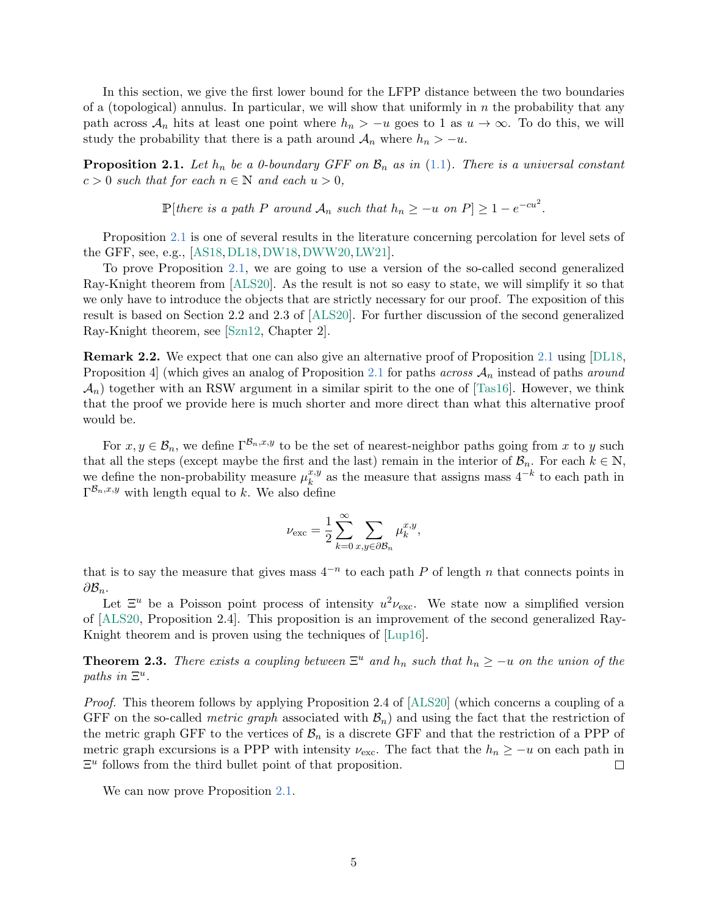In this section, we give the first lower bound for the LFPP distance between the two boundaries of a (topological) annulus. In particular, we will show that uniformly in  $n$  the probability that any path across  $\mathcal{A}_n$  hits at least one point where  $h_n > -u$  goes to 1 as  $u \to \infty$ . To do this, we will study the probability that there is a path around  $A_n$  where  $h_n > -u$ .

<span id="page-4-0"></span>**Proposition 2.1.** Let  $h_n$  be a 0-boundary GFF on  $\mathcal{B}_n$  as in [\(1.1\)](#page-0-2). There is a universal constant  $c > 0$  such that for each  $n \in \mathbb{N}$  and each  $u > 0$ ,

 $\mathbb{P}[there \text{ is a path } P \text{ around } A_n \text{ such that } h_n \geq -u \text{ on } P] \geq 1 - e^{-cu^2}.$ 

Proposition [2.1](#page-4-0) is one of several results in the literature concerning percolation for level sets of the GFF, see, e.g., [\[AS18,](#page-12-4)[DL18,](#page-13-12)[DW18,](#page-13-13)[DWW20,](#page-13-14)[LW21\]](#page-14-1).

To prove Proposition [2.1,](#page-4-0) we are going to use a version of the so-called second generalized Ray-Knight theorem from [\[ALS20\]](#page-12-3). As the result is not so easy to state, we will simplify it so that we only have to introduce the objects that are strictly necessary for our proof. The exposition of this result is based on Section 2.2 and 2.3 of [\[ALS20\]](#page-12-3). For further discussion of the second generalized Ray-Knight theorem, see [\[Szn12,](#page-14-2) Chapter 2].

Remark 2.2. We expect that one can also give an alternative proof of Proposition [2.1](#page-4-0) using [\[DL18,](#page-13-12) Proposition 4] (which gives an analog of Proposition [2.1](#page-4-0) for paths across  $A_n$  instead of paths around  $\mathcal{A}_n$ ) together with an RSW argument in a similar spirit to the one of [\[Tas16\]](#page-14-3). However, we think that the proof we provide here is much shorter and more direct than what this alternative proof would be.

For  $x, y \in \mathcal{B}_n$ , we define  $\Gamma^{\mathcal{B}_n,x,y}$  to be the set of nearest-neighbor paths going from x to y such that all the steps (except maybe the first and the last) remain in the interior of  $\mathcal{B}_n$ . For each  $k \in \mathbb{N}$ , we define the non-probability measure  $\mu_k^{x,y}$  $k_k^{x,y}$  as the measure that assigns mass  $4^{-k}$  to each path in  $\Gamma^{\mathcal{B}_n,x,y}$  with length equal to k. We also define

$$
\nu_{\text{exc}} = \frac{1}{2} \sum_{k=0}^{\infty} \sum_{x,y \in \partial \mathcal{B}_n} \mu_k^{x,y},
$$

that is to say the measure that gives mass  $4^{-n}$  to each path P of length n that connects points in  $\partial \mathcal{B}_n$ .

Let  $\Xi^u$  be a Poisson point process of intensity  $u^2 \nu_{\text{exc}}$ . We state now a simplified version of [\[ALS20,](#page-12-3) Proposition 2.4]. This proposition is an improvement of the second generalized Ray-Knight theorem and is proven using the techniques of [\[Lup16\]](#page-13-11).

<span id="page-4-1"></span>**Theorem 2.3.** There exists a coupling between  $\Xi^u$  and  $h_n$  such that  $h_n \geq -u$  on the union of the paths in  $\Xi^u$ .

Proof. This theorem follows by applying Proposition 2.4 of [\[ALS20\]](#page-12-3) (which concerns a coupling of a GFF on the so-called *metric graph* associated with  $B_n$ ) and using the fact that the restriction of the metric graph GFF to the vertices of  $B_n$  is a discrete GFF and that the restriction of a PPP of metric graph excursions is a PPP with intensity  $\nu_{\text{exc}}$ . The fact that the  $h_n \geq -u$  on each path in  $\Xi^u$  follows from the third bullet point of that proposition.  $\Box$ 

We can now prove Proposition [2.1.](#page-4-0)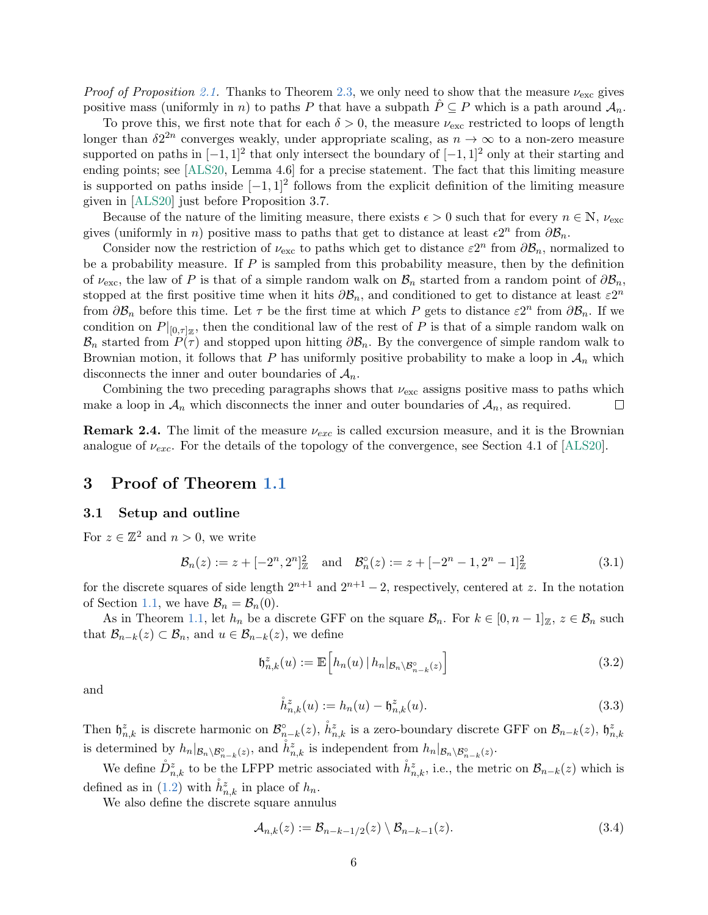*Proof of Proposition [2.1.](#page-4-0)* Thanks to Theorem [2.3,](#page-4-1) we only need to show that the measure  $\nu_{\text{exc}}$  gives positive mass (uniformly in n) to paths P that have a subpath  $\hat{P} \subseteq P$  which is a path around  $\mathcal{A}_n$ .

To prove this, we first note that for each  $\delta > 0$ , the measure  $\nu_{\text{exc}}$  restricted to loops of length longer than  $\delta 2^{2n}$  converges weakly, under appropriate scaling, as  $n \to \infty$  to a non-zero measure supported on paths in  $[-1, 1]^2$  that only intersect the boundary of  $[-1, 1]^2$  only at their starting and ending points; see [\[ALS20,](#page-12-3) Lemma 4.6] for a precise statement. The fact that this limiting measure is supported on paths inside  $[-1, 1]^2$  follows from the explicit definition of the limiting measure given in [\[ALS20\]](#page-12-3) just before Proposition 3.7.

Because of the nature of the limiting measure, there exists  $\epsilon > 0$  such that for every  $n \in \mathbb{N}$ ,  $\nu_{\text{exc}}$ gives (uniformly in n) positive mass to paths that get to distance at least  $\epsilon 2^n$  from  $\partial \mathcal{B}_n$ .

Consider now the restriction of  $\nu_{\rm exc}$  to paths which get to distance  $\varepsilon 2^n$  from  $\partial \mathcal{B}_n$ , normalized to be a probability measure. If  $P$  is sampled from this probability measure, then by the definition of  $\nu_{\text{exc}}$ , the law of P is that of a simple random walk on  $\mathcal{B}_n$  started from a random point of  $\partial \mathcal{B}_n$ , stopped at the first positive time when it hits  $\partial \mathcal{B}_n$ , and conditioned to get to distance at least  $\varepsilon 2^n$ from  $\partial \mathcal{B}_n$  before this time. Let  $\tau$  be the first time at which P gets to distance  $\varepsilon 2^n$  from  $\partial \mathcal{B}_n$ . If we condition on  $P|_{[0,\tau]_{\mathbb{Z}}}$ , then the conditional law of the rest of P is that of a simple random walk on  $\mathcal{B}_n$  started from  $P(\tau)$  and stopped upon hitting  $\partial \mathcal{B}_n$ . By the convergence of simple random walk to Brownian motion, it follows that P has uniformly positive probability to make a loop in  $\mathcal{A}_n$  which disconnects the inner and outer boundaries of  $A_n$ .

Combining the two preceding paragraphs shows that  $\nu_{\text{exc}}$  assigns positive mass to paths which make a loop in  $\mathcal{A}_n$  which disconnects the inner and outer boundaries of  $\mathcal{A}_n$ , as required.  $\Box$ 

**Remark 2.4.** The limit of the measure  $\nu_{exc}$  is called excursion measure, and it is the Brownian analogue of  $\nu_{exc}$ . For the details of the topology of the convergence, see Section 4.1 of [\[ALS20\]](#page-12-3).

## <span id="page-5-0"></span>3 Proof of Theorem [1.1](#page-1-0)

## <span id="page-5-1"></span>3.1 Setup and outline

For  $z \in \mathbb{Z}^2$  and  $n > 0$ , we write

$$
\mathcal{B}_n(z) := z + [-2^n, 2^n]_{{\mathbb{Z}}}^2 \quad \text{and} \quad \mathcal{B}_n^{\circ}(z) := z + [-2^n - 1, 2^n - 1]_{{\mathbb{Z}}}^2 \tag{3.1}
$$

for the discrete squares of side length  $2^{n+1}$  and  $2^{n+1} - 2$ , respectively, centered at z. In the notation of Section [1.1,](#page-0-1) we have  $\mathcal{B}_n = \mathcal{B}_n(0)$ .

As in Theorem [1.1,](#page-1-0) let  $h_n$  be a discrete GFF on the square  $\mathcal{B}_n$ . For  $k \in [0, n-1]_{\mathbb{Z}}$ ,  $z \in \mathcal{B}_n$  such that  $\mathcal{B}_{n-k}(z) \subset \mathcal{B}_n$ , and  $u \in \mathcal{B}_{n-k}(z)$ , we define

$$
\mathfrak{h}_{n,k}^z(u) := \mathbb{E}\Big[h_n(u) \, | \, h_n|_{\mathcal{B}_n \setminus \mathcal{B}_{n-k}^{\circ}(z)}\Big] \tag{3.2}
$$

<span id="page-5-2"></span>and

$$
\mathring{h}_{n,k}^{z}(u) := h_n(u) - \mathfrak{h}_{n,k}^{z}(u). \tag{3.3}
$$

Then  $\mathfrak{h}_{n,k}^z$  is discrete harmonic on  $\mathcal{B}_{n-k}^{\circ}(z)$ ,  $\dot{h}_{n,k}^z$  is a zero-boundary discrete GFF on  $\mathcal{B}_{n-k}(z)$ ,  $\mathfrak{h}_{n,k}^z$ is determined by  $h_n|_{\mathcal{B}_n \setminus \mathcal{B}_{n-k}^{\circ}(z)}$ , and  $\mathring{h}_{n,k}^z$  is independent from  $h_n|_{\mathcal{B}_n \setminus \mathcal{B}_{n-k}^{\circ}(z)}$ .

We define  $\mathring{D}^z_{n,k}$  to be the LFPP metric associated with  $\mathring{h}^z_{n,k}$ , i.e., the metric on  $\mathcal{B}_{n-k}(z)$  which is defined as in [\(1.2\)](#page-0-3) with  $\mathring{h}_{n,k}^z$  in place of  $h_n$ .

We also define the discrete square annulus

$$
\mathcal{A}_{n,k}(z) := \mathcal{B}_{n-k-1/2}(z) \setminus \mathcal{B}_{n-k-1}(z). \tag{3.4}
$$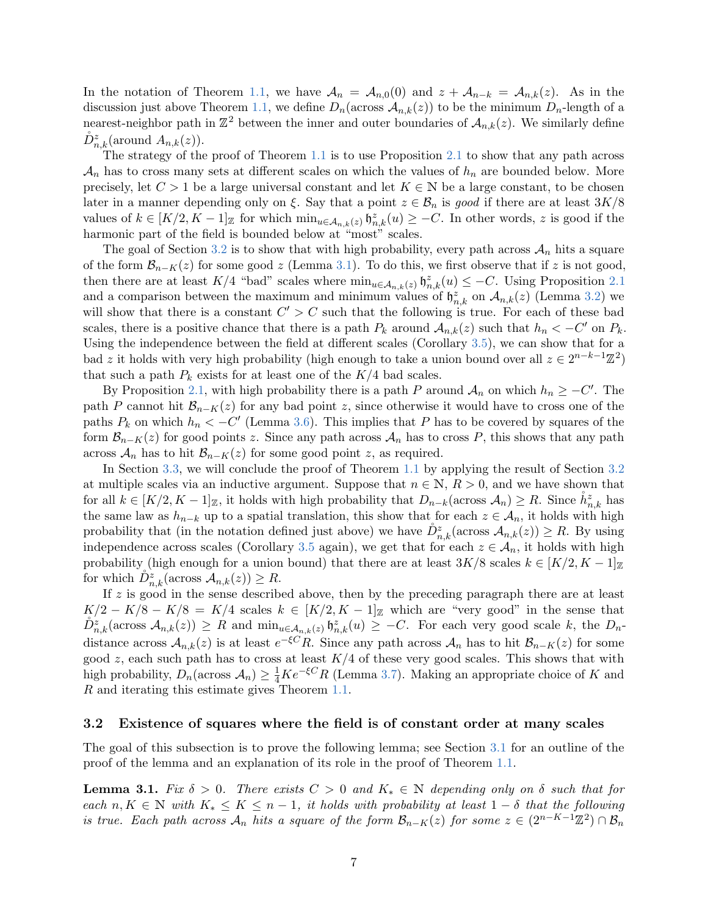In the notation of Theorem [1.1,](#page-1-0) we have  $A_n = A_{n,0}(0)$  and  $z + A_{n-k} = A_{n,k}(z)$ . As in the discussion just above Theorem [1.1,](#page-1-0) we define  $D_n(\arccos \mathcal{A}_{n,k}(z))$  to be the minimum  $D_n$ -length of a nearest-neighbor path in  $\mathbb{Z}^2$  between the inner and outer boundaries of  $\mathcal{A}_{n,k}(z)$ . We similarly define  $\mathring{D}^{z}_{n,k}(\text{around } A_{n,k}(z)).$ 

The strategy of the proof of Theorem [1.1](#page-1-0) is to use Proposition [2.1](#page-4-0) to show that any path across  $\mathcal{A}_n$  has to cross many sets at different scales on which the values of  $h_n$  are bounded below. More precisely, let  $C > 1$  be a large universal constant and let  $K \in \mathbb{N}$  be a large constant, to be chosen later in a manner depending only on  $\xi$ . Say that a point  $z \in \mathcal{B}_n$  is good if there are at least  $3K/8$ values of  $k \in [K/2, K-1]_{\mathbb{Z}}$  for which  $\min_{u \in \mathcal{A}_{n,k}(z)} \mathfrak{h}_{n,k}^z(u) \geq -C$ . In other words, z is good if the harmonic part of the field is bounded below at "most" scales.

The goal of Section [3.2](#page-6-1) is to show that with high probability, every path across  $\mathcal{A}_n$  hits a square of the form  $\mathcal{B}_{n-K}(z)$  for some good z (Lemma [3.1\)](#page-6-0). To do this, we first observe that if z is not good, then there are at least K/4 "bad" scales where  $\min_{u \in A_{n,k}(z)} \mathfrak{h}_{n,k}^z(u) \leq -C$ . Using Proposition [2.1](#page-4-0) and a comparison between the maximum and minimum values of  $\mathfrak{h}_{n,k}^z$  on  $\mathcal{A}_{n,k}(z)$  (Lemma [3.2\)](#page-7-0) we will show that there is a constant  $C' > C$  such that the following is true. For each of these bad scales, there is a positive chance that there is a path  $P_k$  around  $A_{n,k}(z)$  such that  $h_n < -C'$  on  $P_k$ . Using the independence between the field at different scales (Corollary [3.5\)](#page-8-0), we can show that for a bad z it holds with very high probability (high enough to take a union bound over all  $z \in 2^{n-k-1}\mathbb{Z}^2$ ) that such a path  $P_k$  exists for at least one of the  $K/4$  bad scales.

By Proposition [2.1,](#page-4-0) with high probability there is a path P around  $A_n$  on which  $h_n \geq -C'$ . The path P cannot hit  $\mathcal{B}_{n-K}(z)$  for any bad point z, since otherwise it would have to cross one of the paths  $P_k$  on which  $h_n < -C'$  (Lemma [3.6\)](#page-9-0). This implies that P has to be covered by squares of the form  $\mathcal{B}_{n-K}(z)$  for good points z. Since any path across  $\mathcal{A}_n$  has to cross P, this shows that any path across  $A_n$  has to hit  $B_{n-K}(z)$  for some good point z, as required.

In Section [3.3,](#page-10-1) we will conclude the proof of Theorem [1.1](#page-1-0) by applying the result of Section [3.2](#page-6-1) at multiple scales via an inductive argument. Suppose that  $n \in \mathbb{N}$ ,  $R > 0$ , and we have shown that for all  $k \in [K/2, K-1]_{\mathbb{Z}}$ , it holds with high probability that  $D_{n-k}(\text{across }\mathcal{A}_n) \geq R$ . Since  $\mathring{h}_{n,k}^z$  has the same law as  $h_{n-k}$  up to a spatial translation, this show that for each  $z \in A_n$ , it holds with high probability that (in the notation defined just above) we have  $\mathring{D}_{n,k}^z(\text{across }\mathcal{A}_{n,k}(z)) \geq R$ . By using independence across scales (Corollary [3.5](#page-8-0) again), we get that for each  $z \in A_n$ , it holds with high probability (high enough for a union bound) that there are at least  $3K/8$  scales  $k \in [K/2, K-1]_{\mathbb{Z}}$ for which  $\mathring{D}_{n,k}^z(\text{across }\mathcal{A}_{n,k}(z))\geq R.$ 

If  $z$  is good in the sense described above, then by the preceding paragraph there are at least  $K/2 - K/8 - K/8 = K/4$  scales  $k \in [K/2, K-1]_{\mathbb{Z}}$  which are "very good" in the sense that  $\mathring{D}^z_{n,k}(\text{across }\mathcal{A}_{n,k}(z)) \ge R$  and  $\min_{u \in \mathcal{A}_{n,k}(z)} \mathfrak{h}^z_{n,k}(u) \ge -C$ . For each very good scale k, the  $D_n$ distance across  $\mathcal{A}_{n,k}(z)$  is at least  $e^{-\xi C}R$ . Since any path across  $\mathcal{A}_n$  has to hit  $\mathcal{B}_{n-K}(z)$  for some good  $z$ , each such path has to cross at least  $K/4$  of these very good scales. This shows that with high probability,  $D_n(\arccos A_n) \geq \frac{1}{4}Ke^{-\xi C}R$  (Lemma [3.7\)](#page-10-0). Making an appropriate choice of K and R and iterating this estimate gives Theorem [1.1.](#page-1-0)

## <span id="page-6-1"></span>3.2 Existence of squares where the field is of constant order at many scales

The goal of this subsection is to prove the following lemma; see Section [3.1](#page-5-1) for an outline of the proof of the lemma and an explanation of its role in the proof of Theorem [1.1.](#page-1-0)

<span id="page-6-0"></span>**Lemma 3.1.** Fix  $\delta > 0$ . There exists  $C > 0$  and  $K_* \in \mathbb{N}$  depending only on  $\delta$  such that for each  $n, K \in \mathbb{N}$  with  $K_* \leq K \leq n-1$ , it holds with probability at least  $1-\delta$  that the following is true. Each path across  $\mathcal{A}_n$  hits a square of the form  $\mathcal{B}_{n-K}(z)$  for some  $z \in (2^{n-K-1}\mathbb{Z}^2) \cap \mathcal{B}_n$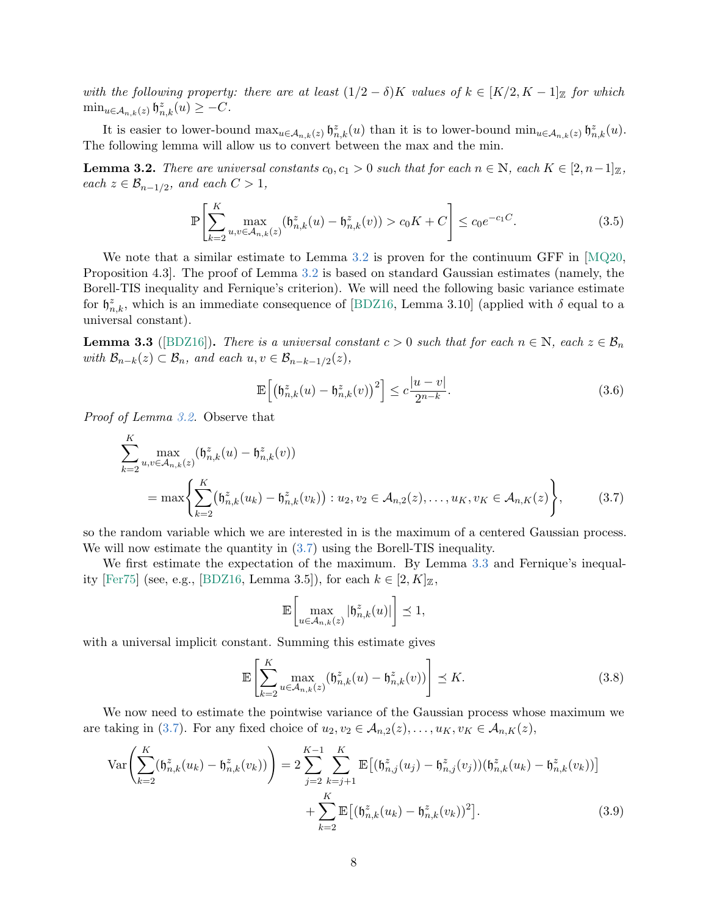with the following property: there are at least  $(1/2 - \delta)K$  values of  $k \in [K/2, K-1]_{\mathbb{Z}}$  for which  $\min_{u \in \mathcal{A}_{n,k}(z)} \mathfrak{h}_{n,k}^z(u) \geq -C.$ 

It is easier to lower-bound  $\max_{u \in A_{n,k}(z)} \mathfrak{h}_{n,k}^z(u)$  than it is to lower-bound  $\min_{u \in A_{n,k}(z)} \mathfrak{h}_{n,k}^z(u)$ . The following lemma will allow us to convert between the max and the min.

<span id="page-7-0"></span>**Lemma 3.2.** There are universal constants  $c_0, c_1 > 0$  such that for each  $n \in \mathbb{N}$ , each  $K \in [2, n-1]_{\mathbb{Z}}$ ,  $each \ z \in \mathcal{B}_{n-1/2}, \ and \ each \ C > 1,$ 

<span id="page-7-5"></span>
$$
\mathbb{P}\left[\sum_{k=2}^{K} \max_{u,v \in \mathcal{A}_{n,k}(z)} (\mathfrak{h}_{n,k}^{z}(u) - \mathfrak{h}_{n,k}^{z}(v)) > c_0 K + C\right] \le c_0 e^{-c_1 C}.\tag{3.5}
$$

We note that a similar estimate to Lemma [3.2](#page-7-0) is proven for the continuum GFF in [\[MQ20,](#page-14-4) Proposition 4.3]. The proof of Lemma [3.2](#page-7-0) is based on standard Gaussian estimates (namely, the Borell-TIS inequality and Fernique's criterion). We will need the following basic variance estimate for  $\mathfrak{h}_{n,k}^z$ , which is an immediate consequence of [\[BDZ16,](#page-12-5) Lemma 3.10] (applied with  $\delta$  equal to a universal constant).

<span id="page-7-2"></span>**Lemma 3.3** ([\[BDZ16\]](#page-12-5)). There is a universal constant  $c > 0$  such that for each  $n \in \mathbb{N}$ , each  $z \in \mathcal{B}_n$ with  $\mathcal{B}_{n-k}(z) \subset \mathcal{B}_n$ , and each  $u, v \in \mathcal{B}_{n-k-1/2}(z)$ ,

$$
\mathbb{E}\left[\left(\mathfrak{h}_{n,k}^z(u) - \mathfrak{h}_{n,k}^z(v)\right)^2\right] \le c\frac{|u-v|}{2^{n-k}}.\tag{3.6}
$$

Proof of Lemma [3.2.](#page-7-0) Observe that

 $\overline{r}$ 

$$
\sum_{k=2}^{K} \max_{u,v \in \mathcal{A}_{n,k}(z)} (\mathfrak{h}_{n,k}^{z}(u) - \mathfrak{h}_{n,k}^{z}(v))
$$
\n
$$
= \max \left\{ \sum_{k=2}^{K} (\mathfrak{h}_{n,k}^{z}(u_{k}) - \mathfrak{h}_{n,k}^{z}(v_{k})) : u_{2}, v_{2} \in \mathcal{A}_{n,2}(z), \dots, u_{K}, v_{K} \in \mathcal{A}_{n,K}(z) \right\},
$$
\n(3.7)

so the random variable which we are interested in is the maximum of a centered Gaussian process. We will now estimate the quantity in  $(3.7)$  using the Borell-TIS inequality.

We first estimate the expectation of the maximum. By Lemma [3.3](#page-7-2) and Fernique's inequal-ity [\[Fer75\]](#page-13-15) (see, e.g., [\[BDZ16,](#page-12-5) Lemma 3.5]), for each  $k \in [2, K]_{\mathbb{Z}}$ ,

<span id="page-7-4"></span><span id="page-7-3"></span><span id="page-7-1"></span>
$$
\mathbb{E}\bigg[\max_{u\in\mathcal{A}_{n,k}(z)}|\mathfrak{h}_{n,k}^z(u)|\bigg]\preceq 1,
$$

with a universal implicit constant. Summing this estimate gives

$$
\mathbb{E}\left[\sum_{k=2}^{K}\max_{u\in\mathcal{A}_{n,k}(z)}(\mathfrak{h}_{n,k}^{z}(u)-\mathfrak{h}_{n,k}^{z}(v))\right]\preceq K.
$$
\n(3.8)

We now need to estimate the pointwise variance of the Gaussian process whose maximum we are taking in [\(3.7\)](#page-7-1). For any fixed choice of  $u_2, v_2 \in A_{n,2}(z), \ldots, u_K, v_K \in A_{n,K}(z)$ ,

$$
\operatorname{Var}\left(\sum_{k=2}^{K}(\mathfrak{h}_{n,k}^{z}(u_{k}) - \mathfrak{h}_{n,k}^{z}(v_{k}))\right) = 2\sum_{j=2}^{K-1}\sum_{k=j+1}^{K}\mathbb{E}\left[(\mathfrak{h}_{n,j}^{z}(u_{j}) - \mathfrak{h}_{n,j}^{z}(v_{j}))(\mathfrak{h}_{n,k}^{z}(u_{k}) - \mathfrak{h}_{n,k}^{z}(v_{k}))\right] + \sum_{k=2}^{K}\mathbb{E}\left[(\mathfrak{h}_{n,k}^{z}(u_{k}) - \mathfrak{h}_{n,k}^{z}(v_{k}))^{2}\right].
$$
\n(3.9)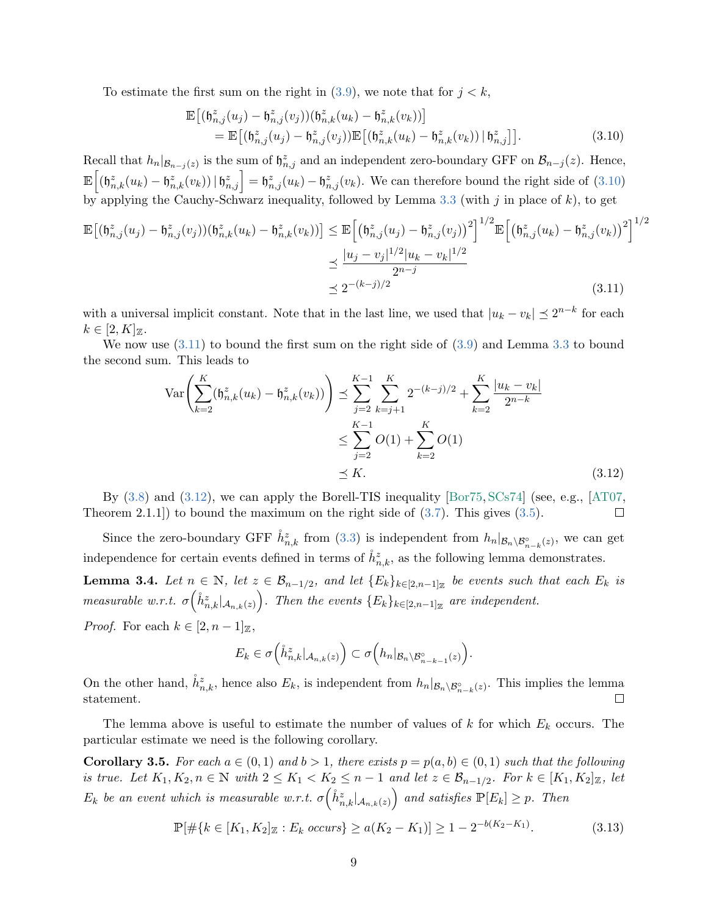To estimate the first sum on the right in  $(3.9)$ , we note that for  $j < k$ ,

<span id="page-8-2"></span><span id="page-8-1"></span>
$$
\mathbb{E}\left[ (\mathfrak{h}_{n,j}^{z}(u_{j}) - \mathfrak{h}_{n,j}^{z}(v_{j}))(\mathfrak{h}_{n,k}^{z}(u_{k}) - \mathfrak{h}_{n,k}^{z}(v_{k})) \right] \n= \mathbb{E}\left[ (\mathfrak{h}_{n,j}^{z}(u_{j}) - \mathfrak{h}_{n,j}^{z}(v_{j})) \mathbb{E}\left[ (\mathfrak{h}_{n,k}^{z}(u_{k}) - \mathfrak{h}_{n,k}^{z}(v_{k})) \,|\, \mathfrak{h}_{n,j}^{z} \right] \right].
$$
\n(3.10)

Recall that  $h_n|_{\mathcal{B}_{n-j}(z)}$  is the sum of  $\mathfrak{h}_{n,j}^z$  and an independent zero-boundary GFF on  $\mathcal{B}_{n-j}(z)$ . Hence,  $\mathbb{E}\left[\left(\mathfrak{h}_{n,k}^z(u_k)-\mathfrak{h}_{n,k}^z(v_k)\right)|\mathfrak{h}_{n,j}^z\right]=\mathfrak{h}_{n,j}^z(u_k)-\mathfrak{h}_{n,j}^z(v_k).$  We can therefore bound the right side of  $(3.10)$ by applying the Cauchy-Schwarz inequality, followed by Lemma [3.3](#page-7-2) (with  $j$  in place of  $k$ ), to get

$$
\mathbb{E}\left[ (\mathfrak{h}_{n,j}^{z}(u_{j}) - \mathfrak{h}_{n,j}^{z}(v_{j}))(\mathfrak{h}_{n,k}^{z}(u_{k}) - \mathfrak{h}_{n,k}^{z}(v_{k})) \right] \leq \mathbb{E}\left[ \left( \mathfrak{h}_{n,j}^{z}(u_{j}) - \mathfrak{h}_{n,j}^{z}(v_{j}) \right)^{2} \right]^{1/2} \mathbb{E}\left[ \left( \mathfrak{h}_{n,j}^{z}(u_{k}) - \mathfrak{h}_{n,j}^{z}(v_{k}) \right)^{2} \right]^{1/2} \newline \leq \frac{|u_{j} - v_{j}|^{1/2}|u_{k} - v_{k}|^{1/2}}{2^{n-j}} \newline \leq 2^{-(k-j)/2} \tag{3.11}
$$

with a universal implicit constant. Note that in the last line, we used that  $|u_k - v_k| \leq 2^{n-k}$  for each  $k \in [2, K]_{\mathbb{Z}}$ .

We now use  $(3.11)$  to bound the first sum on the right side of  $(3.9)$  and Lemma [3.3](#page-7-2) to bound the second sum. This leads to

$$
\operatorname{Var}\left(\sum_{k=2}^{K}(\mathfrak{h}_{n,k}^{z}(u_{k}) - \mathfrak{h}_{n,k}^{z}(v_{k}))\right) \preceq \sum_{j=2}^{K-1} \sum_{k=j+1}^{K} 2^{-(k-j)/2} + \sum_{k=2}^{K} \frac{|u_{k} - v_{k}|}{2^{n-k}}
$$

$$
\leq \sum_{j=2}^{K-1} O(1) + \sum_{k=2}^{K} O(1)
$$

$$
\preceq K.
$$
(3.12)

By  $(3.8)$  and  $(3.12)$ , we can apply the Borell-TIS inequality [\[Bor75,](#page-12-6) [SCs74\]](#page-14-5) (see, e.g., [\[AT07,](#page-12-7) Theorem 2.1.1) to bound the maximum on the right side of  $(3.7)$ . This gives  $(3.5)$ .  $\Box$ 

Since the zero-boundary GFF  $\mathring{h}_{n,k}^z$  from [\(3.3\)](#page-5-2) is independent from  $h_n|_{\mathcal{B}_n\setminus\mathcal{B}_{n-k}^{\circ}(z)}$ , we can get independence for certain events defined in terms of  $\mathring{h}_{n,k}^z$ , as the following lemma demonstrates.

<span id="page-8-4"></span>**Lemma 3.4.** Let  $n \in \mathbb{N}$ , let  $z \in \mathcal{B}_{n-1/2}$ , and let  $\{E_k\}_{k \in [2,n-1]\mathbb{Z}}$  be events such that each  $E_k$  is measurable w.r.t.  $\sigma\left(\tilde{h}_{n,k}^z|_{\mathcal{A}_{n,k}(z)}\right)$ . Then the events  $\{E_k\}_{k\in [2,n-1]_\mathbb{Z}}$  are independent.

*Proof.* For each  $k \in [2, n-1]_{\mathbb{Z}},$ 

<span id="page-8-3"></span>
$$
E_k \in \sigma\left(\mathring{h}_{n,k}^z|_{\mathcal{A}_{n,k}(z)}\right) \subset \sigma\left(h_n|_{\mathcal{B}_n \setminus \mathcal{B}_{n-k-1}^\circ(z)}\right).
$$

On the other hand,  $\hat{h}_{n,k}^z$ , hence also  $E_k$ , is independent from  $h_n|_{\mathcal{B}_n\setminus\mathcal{B}_{n-k}^{\circ}(z)}$ . This implies the lemma statement.  $\Box$ 

The lemma above is useful to estimate the number of values of  $k$  for which  $E_k$  occurs. The particular estimate we need is the following corollary.

<span id="page-8-0"></span>**Corollary 3.5.** For each  $a \in (0,1)$  and  $b > 1$ , there exists  $p = p(a, b) \in (0,1)$  such that the following is true. Let  $K_1, K_2, n \in \mathbb{N}$  with  $2 \le K_1 < K_2 \le n-1$  and let  $z \in \mathcal{B}_{n-1/2}$ . For  $k \in [K_1, K_2]_{\mathbb{Z}}$ , let  $E_k$  be an event which is measurable w.r.t.  $\sigma\left(\mathring{h}_{n,k}^z|_{\mathcal{A}_{n,k}(z)}\right)$  and satisfies  $\mathbb{P}[E_k] \geq p$ . Then

$$
\mathbb{P}[\#\{k \in [K_1, K_2]_\mathbb{Z} : E_k \text{ occurs}\} \ge a(K_2 - K_1)] \ge 1 - 2^{-b(K_2 - K_1)}.
$$
\n(3.13)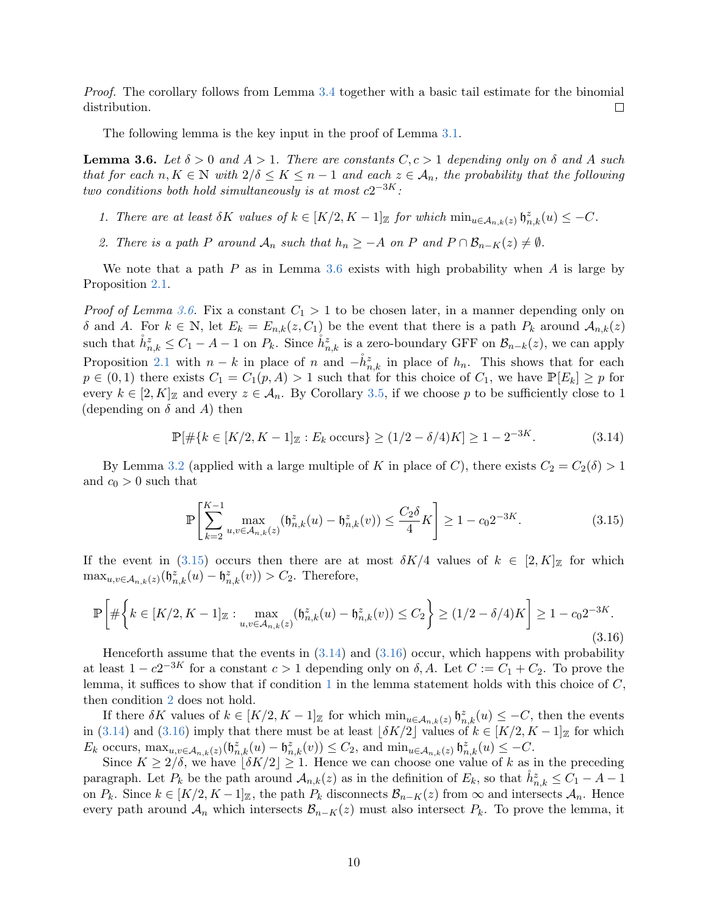Proof. The corollary follows from Lemma [3.4](#page-8-4) together with a basic tail estimate for the binomial distribution.  $\Box$ 

The following lemma is the key input in the proof of Lemma [3.1.](#page-6-0)

<span id="page-9-0"></span>**Lemma 3.6.** Let  $\delta > 0$  and  $A > 1$ . There are constants  $C, c > 1$  depending only on  $\delta$  and A such that for each  $n, K \in \mathbb{N}$  with  $2/\delta \leq K \leq n-1$  and each  $z \in \mathcal{A}_n$ , the probability that the following two conditions both hold simultaneously is at most  $c2^{-3K}$ :

- <span id="page-9-4"></span>1. There are at least  $\delta K$  values of  $k \in [K/2, K-1]_{\mathbb{Z}}$  for which  $\min_{u \in A_{n,k}(z)} \mathfrak{h}_{n,k}^z(u) \leq -C$ .
- <span id="page-9-5"></span>2. There is a path P around  $\mathcal{A}_n$  such that  $h_n \geq -A$  on P and  $P \cap \mathcal{B}_{n-K}(z) \neq \emptyset$ .

We note that a path  $P$  as in Lemma [3.6](#page-9-0) exists with high probability when  $A$  is large by Proposition [2.1.](#page-4-0)

*Proof of Lemma [3.6.](#page-9-0)* Fix a constant  $C_1 > 1$  to be chosen later, in a manner depending only on δ and A. For  $k \in \mathbb{N}$ , let  $E_k = E_{n,k}(z, C_1)$  be the event that there is a path  $P_k$  around  $\mathcal{A}_{n,k}(z)$ such that  $\mathring{h}_{n,k}^z \leq C_1 - A - 1$  on  $P_k$ . Since  $\mathring{h}_{n,k}^z$  is a zero-boundary GFF on  $\mathcal{B}_{n-k}(z)$ , we can apply Proposition [2.1](#page-4-0) with  $n - k$  in place of n and  $-\dot{h}^z_{n,k}$  in place of  $h_n$ . This shows that for each  $p \in (0,1)$  there exists  $C_1 = C_1(p,A) > 1$  such that for this choice of  $C_1$ , we have  $\mathbb{P}[E_k] \geq p$  for every  $k \in [2, K]_{\mathbb{Z}}$  and every  $z \in \mathcal{A}_n$ . By Corollary [3.5,](#page-8-0) if we choose p to be sufficiently close to 1 (depending on  $\delta$  and  $\hat{A}$ ) then

<span id="page-9-2"></span>
$$
\mathbb{P}[\#\{k \in [K/2, K-1] \mathbb{Z} : E_k \text{ occurs}\} \ge (1/2 - \delta/4)K] \ge 1 - 2^{-3K}.
$$
 (3.14)

By Lemma [3.2](#page-7-0) (applied with a large multiple of K in place of C), there exists  $C_2 = C_2(\delta) > 1$ and  $c_0 > 0$  such that

<span id="page-9-3"></span><span id="page-9-1"></span>
$$
\mathbb{P}\left[\sum_{k=2}^{K-1} \max_{u,v \in \mathcal{A}_{n,k}(z)} (\mathfrak{h}_{n,k}^z(u) - \mathfrak{h}_{n,k}^z(v)) \le \frac{C_2 \delta}{4} K\right] \ge 1 - c_0 2^{-3K}.
$$
 (3.15)

If the event in [\(3.15\)](#page-9-1) occurs then there are at most  $\delta K/4$  values of  $k \in [2, K]_{\mathbb{Z}}$  for which  $\max_{u,v \in \mathcal{A}_{n,k}(z)} (\mathfrak{h}_{n,k}^z(u) - \mathfrak{h}_{n,k}^z(v)) > C_2$ . Therefore,

$$
\mathbb{P}\left[\#\left\{k \in [K/2, K-1]_{{\mathbb{Z}}}: \max_{u,v \in A_{n,k}(z)} (\mathfrak{h}_{n,k}^z(u) - \mathfrak{h}_{n,k}^z(v)) \le C_2\right\} \ge (1/2 - \delta/4)K\right] \ge 1 - c_0 2^{-3K}.
$$
\n(3.16)

Henceforth assume that the events in  $(3.14)$  and  $(3.16)$  occur, which happens with probability at least  $1 - c2^{-3K}$  for a constant  $c > 1$  depending only on  $\delta$ , A. Let  $C := C_1 + C_2$ . To prove the lemma, it suffices to show that if condition [1](#page-9-4) in the lemma statement holds with this choice of  $C$ , then condition [2](#page-9-5) does not hold.

If there  $\delta K$  values of  $k \in [K/2, K-1]_{\mathbb{Z}}$  for which  $\min_{u \in \mathcal{A}_{n,k}(z)} \mathfrak{h}_{n,k}^z(u) \leq -C$ , then the events in [\(3.14\)](#page-9-2) and [\(3.16\)](#page-9-3) imply that there must be at least  $\vert \delta K/2 \vert$  values of  $k \in [K/2, K-1]_{\mathbb{Z}}$  for which  $E_k$  occurs,  $\max_{u,v \in A_{n,k}(z)} (\mathfrak{h}_{n,k}^z(u) - \mathfrak{h}_{n,k}^z(v)) \leq C_2$ , and  $\min_{u \in A_{n,k}(z)} \mathfrak{h}_{n,k}^z(u) \leq -C$ .

Since  $K \ge 2/\delta$ , we have  $|\delta K/2| \ge 1$ . Hence we can choose one value of k as in the preceding paragraph. Let  $P_k$  be the path around  $\mathcal{A}_{n,k}(z)$  as in the definition of  $E_k$ , so that  $\mathring{h}_{n,k}^z \leq C_1 - A - 1$ on  $P_k$ . Since  $k \in [K/2, K-1]_{\mathbb{Z}}$ , the path  $P_k$  disconnects  $\mathcal{B}_{n-K}(z)$  from  $\infty$  and intersects  $\mathcal{A}_n$ . Hence every path around  $\mathcal{A}_n$  which intersects  $\mathcal{B}_{n-K}(z)$  must also intersect  $P_k$ . To prove the lemma, it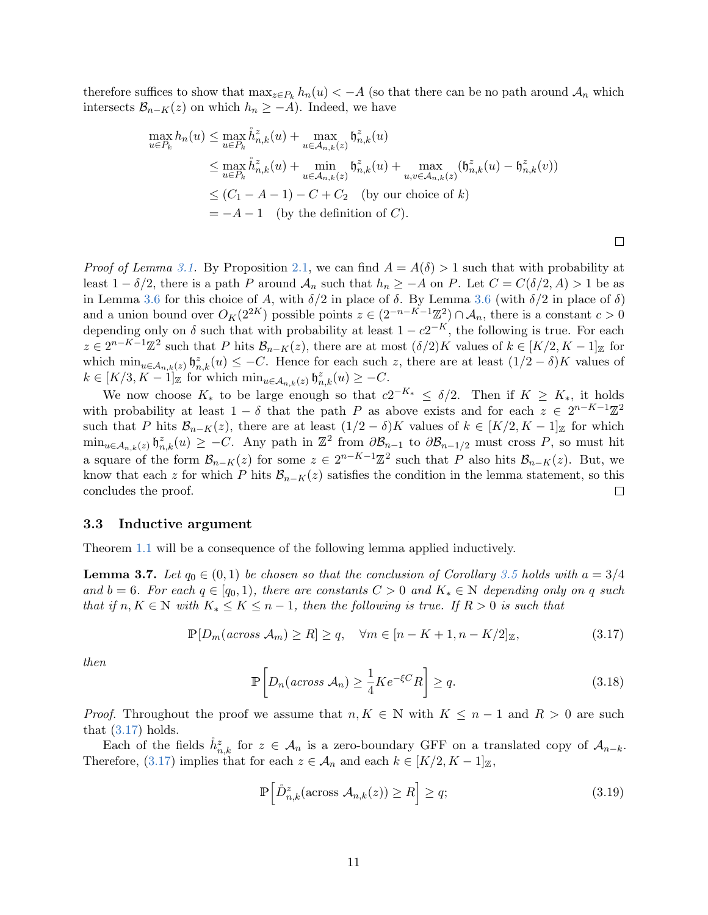therefore suffices to show that  $\max_{z \in P_k} h_n(u) < -A$  (so that there can be no path around  $\mathcal{A}_n$  which intersects  $\mathcal{B}_{n-K}(z)$  on which  $h_n \geq -A$ ). Indeed, we have

$$
\max_{u \in P_k} h_n(u) \leq \max_{u \in P_k} \hat{h}_{n,k}^z(u) + \max_{u \in A_{n,k}(z)} \mathfrak{h}_{n,k}^z(u)
$$
  
\n
$$
\leq \max_{u \in P_k} \hat{h}_{n,k}^z(u) + \min_{u \in A_{n,k}(z)} \mathfrak{h}_{n,k}^z(u) + \max_{u,v \in A_{n,k}(z)} (\mathfrak{h}_{n,k}^z(u) - \mathfrak{h}_{n,k}^z(v))
$$
  
\n
$$
\leq (C_1 - A - 1) - C + C_2 \text{ (by our choice of } k)
$$
  
\n
$$
= -A - 1 \text{ (by the definition of } C).
$$

*Proof of Lemma [3.1.](#page-6-0)* By Proposition [2.1,](#page-4-0) we can find  $A = A(\delta) > 1$  such that with probability at least  $1 - \delta/2$ , there is a path P around  $\mathcal{A}_n$  such that  $h_n \geq -A$  on P. Let  $C = C(\delta/2, A) > 1$  be as in Lemma [3.6](#page-9-0) for this choice of A, with  $\delta/2$  in place of  $\delta$ . By Lemma 3.6 (with  $\delta/2$  in place of  $\delta$ ) and a union bound over  $O_K(2^{2K})$  possible points  $z \in (2^{-n-K-1}\mathbb{Z}^2) \cap \mathcal{A}_n$ , there is a constant  $c > 0$ depending only on  $\delta$  such that with probability at least  $1 - c2^{-K}$ , the following is true. For each  $z \in 2^{n-K-1}\mathbb{Z}^2$  such that P hits  $\mathcal{B}_{n-K}(z)$ , there are at most  $(\delta/2)K$  values of  $k \in [K/2, K-1]_{\mathbb{Z}}$  for which  $\min_{u \in A_{n,k}(z)} \mathfrak{h}_{n,k}^z(u) \leq -C$ . Hence for each such z, there are at least  $(1/2 - \delta)K$  values of  $k \in [K/3, K-1]_{\mathbb{Z}}$  for which  $\min_{u \in \mathcal{A}_{n,k}(z)} \mathfrak{h}_{n,k}^z(u) \geq -C.$ 

We now choose  $K_*$  to be large enough so that  $c2^{-K_*} \leq \delta/2$ . Then if  $K \geq K_*$ , it holds with probability at least  $1 - \delta$  that the path P as above exists and for each  $z \in 2^{n-K-1}\mathbb{Z}^2$ such that P hits  $\mathcal{B}_{n-K}(z)$ , there are at least  $(1/2-\delta)K$  values of  $k \in [K/2, K-1]_{\mathbb{Z}}$  for which  $\min_{u \in A_{n,k}(z)} \mathfrak{h}_{n,k}^z(u) \geq -C.$  Any path in  $\mathbb{Z}^2$  from  $\partial \mathcal{B}_{n-1}$  to  $\partial \mathcal{B}_{n-1/2}$  must cross P, so must hit a square of the form  $\mathcal{B}_{n-K}(z)$  for some  $z \in 2^{n-K-1}\mathbb{Z}^2$  such that P also hits  $\mathcal{B}_{n-K}(z)$ . But, we know that each z for which P hits  $\mathcal{B}_{n-K}(z)$  satisfies the condition in the lemma statement, so this concludes the proof.  $\Box$ 

#### <span id="page-10-1"></span>3.3 Inductive argument

Theorem [1.1](#page-1-0) will be a consequence of the following lemma applied inductively.

<span id="page-10-0"></span>**Lemma 3.7.** Let  $q_0 \in (0,1)$  be chosen so that the conclusion of Corollary [3.5](#page-8-0) holds with  $a = 3/4$ and  $b = 6$ . For each  $q \in [q_0, 1)$ , there are constants  $C > 0$  and  $K_* \in \mathbb{N}$  depending only on q such that if  $n, K \in \mathbb{N}$  with  $K_* \leq K \leq n-1$ , then the following is true. If  $R > 0$  is such that

$$
\mathbb{P}[D_m(\text{across } \mathcal{A}_m) \ge R] \ge q, \quad \forall m \in [n - K + 1, n - K/2]_{\mathbb{Z}},\tag{3.17}
$$

<span id="page-10-4"></span>then

<span id="page-10-2"></span>
$$
\mathbb{P}\left[D_n(\text{across }A_n) \ge \frac{1}{4}Ke^{-\xi C}R\right] \ge q. \tag{3.18}
$$

 $\Box$ 

*Proof.* Throughout the proof we assume that  $n, K \in \mathbb{N}$  with  $K \leq n-1$  and  $R > 0$  are such that  $(3.17)$  holds.

Each of the fields  $\mathring{h}_{n,k}^z$  for  $z \in \mathcal{A}_n$  is a zero-boundary GFF on a translated copy of  $\mathcal{A}_{n-k}$ . Therefore, [\(3.17\)](#page-10-2) implies that for each  $z \in A_n$  and each  $k \in [K/2, K-1]_{\mathbb{Z}}$ ,

<span id="page-10-3"></span>
$$
\mathbb{P}\left[\overset{\circ}{D}_{n,k}^{z}(\text{across }\mathcal{A}_{n,k}(z))\geq R\right]\geq q;\tag{3.19}
$$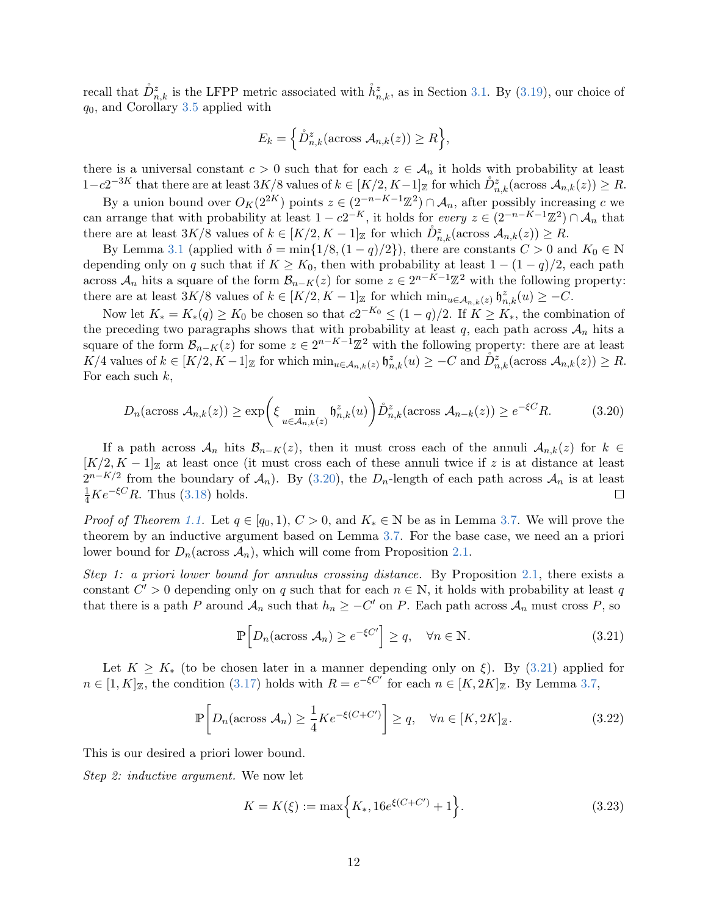recall that  $\mathring{D}^z_{n,k}$  is the LFPP metric associated with  $\mathring{h}^z_{n,k}$ , as in Section [3.1.](#page-5-1) By [\(3.19\)](#page-10-3), our choice of  $q_0$ , and Corollary [3.5](#page-8-0) applied with

$$
E_k = \left\{ \mathring{D}_{n,k}^z(\text{across } A_{n,k}(z)) \ge R \right\},\
$$

there is a universal constant  $c > 0$  such that for each  $z \in A_n$  it holds with probability at least  $1-c2^{-3K}$  that there are at least  $3K/8$  values of  $k \in [K/2, K-1]_{\mathbb{Z}}$  for which  $\mathring{D}_{n,k}^z(\text{across }\mathcal{A}_{n,k}(z)) \geq R$ .

By a union bound over  $O_K(2^{2K})$  points  $z \in (2^{-n-K-1}\mathbb{Z}^2) \cap \mathcal{A}_n$ , after possibly increasing c we can arrange that with probability at least  $1 - c2^{-K}$ , it holds for *every*  $z \in (2^{-n-K-1}\mathbb{Z}^2) \cap \mathcal{A}_n$  that there are at least  $3K/8$  values of  $k \in [K/2, K-1]_{\mathbb{Z}}$  for which  $\mathring{D}^z_{n,k}(\text{across }\mathcal{A}_{n,k}(z)) \geq R$ .

By Lemma [3.1](#page-6-0) (applied with  $\delta = \min\{1/8, (1-q)/2\}$ ), there are constants  $C > 0$  and  $K_0 \in \mathbb{N}$ depending only on q such that if  $K \geq K_0$ , then with probability at least  $1 - (1 - q)/2$ , each path across  $\mathcal{A}_n$  hits a square of the form  $\mathcal{B}_{n-K}(z)$  for some  $z \in 2^{n-K-1}\mathbb{Z}^2$  with the following property: there are at least  $3K/8$  values of  $k \in [K/2, K-1]_{\mathbb{Z}}$  for which  $\min_{u \in A_{n,k}(z)} \mathfrak{h}_{n,k}^z(u) \geq -C$ .

Now let  $K_* = K_*(q) \geq K_0$  be chosen so that  $c2^{-K_0} \leq (1-q)/2$ . If  $K \geq K_*$ , the combination of the preceding two paragraphs shows that with probability at least q, each path across  $A_n$  hits a square of the form  $\mathcal{B}_{n-K}(z)$  for some  $z \in 2^{n-K-1}\mathbb{Z}^2$  with the following property: there are at least  $K/4$  values of  $k \in [K/2, K-1]_{\mathbb{Z}}$  for which  $\min_{u \in \mathcal{A}_{n,k}(z)} \mathfrak{h}_{n,k}^z(u) \geq -C$  and  $\mathring{D}_{n,k}^z(\text{across }\mathcal{A}_{n,k}(z)) \geq R$ . For each such  $k$ ,

$$
D_n(\arccos \mathcal{A}_{n,k}(z)) \ge \exp\left(\xi \min_{u \in \mathcal{A}_{n,k}(z)} \mathfrak{h}_{n,k}^z(u)\right) \mathring{D}_{n,k}^z(\arccos \mathcal{A}_{n-k}(z)) \ge e^{-\xi C} R. \tag{3.20}
$$

If a path across  $A_n$  hits  $B_{n-K}(z)$ , then it must cross each of the annuli  $A_{n,k}(z)$  for  $k \in$  $[K/2, K-1]_{\mathbb{Z}}$  at least once (it must cross each of these annuli twice if z is at distance at least  $2^{n-K/2}$  from the boundary of  $\mathcal{A}_n$ ). By [\(3.20\)](#page-11-0), the  $D_n$ -length of each path across  $\mathcal{A}_n$  is at least  $\frac{1}{4}Ke^{-\xi C}R$ . Thus [\(3.18\)](#page-10-4) holds.  $\Box$ 

*Proof of Theorem [1.1.](#page-1-0)* Let  $q \in [q_0, 1), C > 0$ , and  $K_* \in \mathbb{N}$  be as in Lemma [3.7.](#page-10-0) We will prove the theorem by an inductive argument based on Lemma [3.7.](#page-10-0) For the base case, we need an a priori lower bound for  $D_n(\arccos A_n)$ , which will come from Proposition [2.1.](#page-4-0)

Step 1: a priori lower bound for annulus crossing distance. By Proposition [2.1,](#page-4-0) there exists a constant  $C' > 0$  depending only on q such that for each  $n \in \mathbb{N}$ , it holds with probability at least q that there is a path P around  $\mathcal{A}_n$  such that  $h_n \geq -C'$  on P. Each path across  $\mathcal{A}_n$  must cross P, so

<span id="page-11-2"></span><span id="page-11-1"></span><span id="page-11-0"></span>
$$
\mathbb{P}\left[D_n(\arccos A_n) \ge e^{-\xi C'}\right] \ge q, \quad \forall n \in \mathbb{N}.\tag{3.21}
$$

Let  $K \geq K_{\ast}$  (to be chosen later in a manner depending only on  $\xi$ ). By [\(3.21\)](#page-11-1) applied for  $n \in [1, K]_{\mathbb{Z}}$ , the condition [\(3.17\)](#page-10-2) holds with  $R = e^{-\xi C}$  for each  $n \in [K, 2K]_{\mathbb{Z}}$ . By Lemma [3.7,](#page-10-0)

$$
\mathbb{P}\left[D_n(\arccos \mathcal{A}_n) \ge \frac{1}{4}Ke^{-\xi(C+C')}\right] \ge q, \quad \forall n \in [K, 2K]_{\mathbb{Z}}.
$$
\n(3.22)

This is our desired a priori lower bound.

Step 2: inductive argument. We now let

<span id="page-11-3"></span>
$$
K = K(\xi) := \max\Big\{K_*, 16e^{\xi(C+C')} + 1\Big\}.
$$
\n(3.23)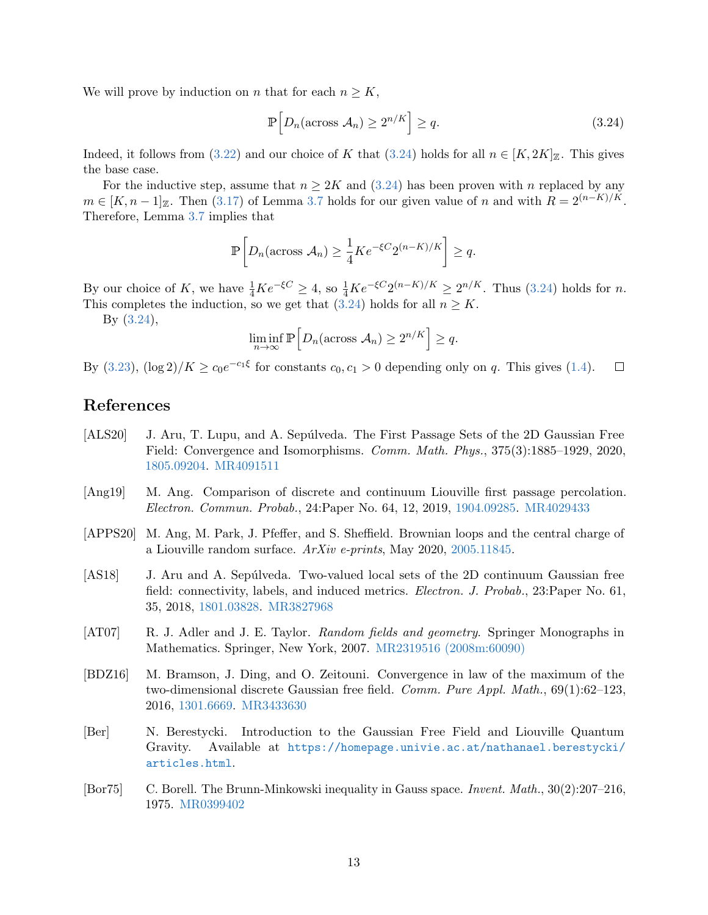We will prove by induction on *n* that for each  $n \geq K$ ,

<span id="page-12-8"></span>
$$
\mathbb{P}\left[D_n(\arccos A_n) \ge 2^{n/K}\right] \ge q. \tag{3.24}
$$

Indeed, it follows from [\(3.22\)](#page-11-2) and our choice of K that [\(3.24\)](#page-12-8) holds for all  $n \in [K, 2K]_{\mathbb{Z}}$ . This gives the base case.

For the inductive step, assume that  $n \geq 2K$  and  $(3.24)$  has been proven with n replaced by any  $m \in [K, n-1]_{\mathbb{Z}}$ . Then [\(3.17\)](#page-10-2) of Lemma [3.7](#page-10-0) holds for our given value of n and with  $R = 2^{(n-K)/K}$ . Therefore, Lemma [3.7](#page-10-0) implies that

$$
\mathbb{P}\bigg[D_n(\arccos \mathcal{A}_n) \geq \frac{1}{4}Ke^{-\xi C}2^{(n-K)/K}\bigg] \geq q.
$$

By our choice of K, we have  $\frac{1}{4}Ke^{-\xi C} \geq 4$ , so  $\frac{1}{4}Ke^{-\xi C}2^{(n-K)/K} \geq 2^{n/K}$ . Thus [\(3.24\)](#page-12-8) holds for n. This completes the induction, so we get that [\(3.24\)](#page-12-8) holds for all  $n \geq K$ .

By [\(3.24\)](#page-12-8),

$$
\liminf_{n \to \infty} \mathbb{P}\Big[D_n(\arccos \mathcal{A}_n) \ge 2^{n/K}\Big] \ge q.
$$

By [\(3.23\)](#page-11-3),  $(\log 2)/K \ge c_0 e^{-c_1 \xi}$  for constants  $c_0, c_1 > 0$  depending only on q. This gives [\(1.4\)](#page-1-2).  $\Box$ 

# References

- <span id="page-12-3"></span>[ALS20] J. Aru, T. Lupu, and A. Sepúlveda. The First Passage Sets of the 2D Gaussian Free Field: Convergence and Isomorphisms. Comm. Math. Phys., 375(3):1885–1929, 2020, [1805.09204.](http://arxiv.org/abs/1805.09204) [MR4091511](http://www.ams.org/mathscinet-getitem?mr=4091511)
- <span id="page-12-0"></span>[Ang19] M. Ang. Comparison of discrete and continuum Liouville first passage percolation. Electron. Commun. Probab., 24:Paper No. 64, 12, 2019, [1904.09285.](http://arxiv.org/abs/1904.09285) [MR4029433](http://www.ams.org/mathscinet-getitem?mr=4029433)
- <span id="page-12-2"></span>[APPS20] M. Ang, M. Park, J. Pfeffer, and S. Sheffield. Brownian loops and the central charge of a Liouville random surface.  $ArXiv$  e-prints, May 2020, [2005.11845.](http://arxiv.org/abs/2005.11845)
- <span id="page-12-4"></span>[AS18] J. Aru and A. Sepúlveda. Two-valued local sets of the 2D continuum Gaussian free field: connectivity, labels, and induced metrics. Electron. J. Probab., 23:Paper No. 61, 35, 2018, [1801.03828.](http://arxiv.org/abs/1801.03828) [MR3827968](http://www.ams.org/mathscinet-getitem?mr=3827968)
- <span id="page-12-7"></span>[AT07] R. J. Adler and J. E. Taylor. *Random fields and geometry*. Springer Monographs in Mathematics. Springer, New York, 2007. [MR2319516 \(2008m:60090\)](http://www.ams.org/mathscinet-getitem?mr=2319516)
- <span id="page-12-5"></span>[BDZ16] M. Bramson, J. Ding, and O. Zeitouni. Convergence in law of the maximum of the two-dimensional discrete Gaussian free field. Comm. Pure Appl. Math., 69(1):62–123, 2016, [1301.6669.](http://arxiv.org/abs/1301.6669) [MR3433630](http://www.ams.org/mathscinet-getitem?mr=3433630)
- <span id="page-12-1"></span>[Ber] N. Berestycki. Introduction to the Gaussian Free Field and Liouville Quantum Gravity. Available at [https://homepage.univie.ac.at/nathanael.berestycki/](https://homepage.univie.ac.at/nathanael.berestycki/articles.html) [articles.html](https://homepage.univie.ac.at/nathanael.berestycki/articles.html).
- <span id="page-12-6"></span>[Bor75] C. Borell. The Brunn-Minkowski inequality in Gauss space. Invent. Math., 30(2):207–216, 1975. [MR0399402](http://www.ams.org/mathscinet-getitem?mr=0399402)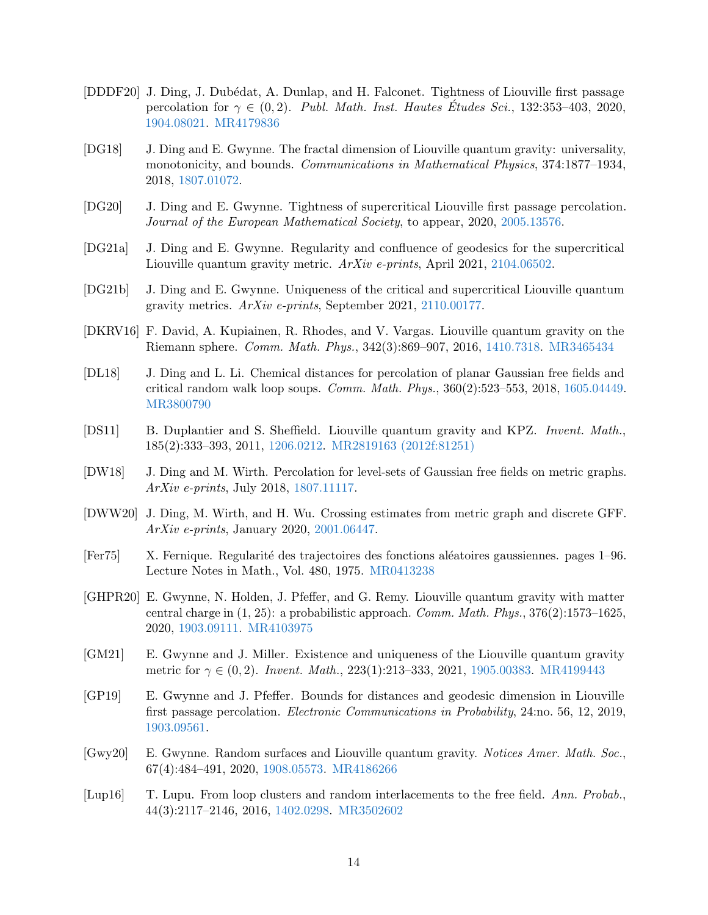- <span id="page-13-9"></span>[DDDF20] J. Ding, J. Dubédat, A. Dunlap, and H. Falconet. Tightness of Liouville first passage percolation for  $\gamma \in (0, 2)$ . Publ. Math. Inst. Hautes Études Sci., 132:353-403, 2020, [1904.08021.](http://arxiv.org/abs/1904.08021) [MR4179836](http://www.ams.org/mathscinet-getitem?mr=4179836)
- <span id="page-13-8"></span>[DG18] J. Ding and E. Gwynne. The fractal dimension of Liouville quantum gravity: universality, monotonicity, and bounds. Communications in Mathematical Physics, 374:1877–1934, 2018, [1807.01072.](http://arxiv.org/abs/1807.01072)
- <span id="page-13-0"></span>[DG20] J. Ding and E. Gwynne. Tightness of supercritical Liouville first passage percolation. Journal of the European Mathematical Society, to appear, 2020, [2005.13576.](http://arxiv.org/abs/2005.13576)
- <span id="page-13-6"></span>[DG21a] J. Ding and E. Gwynne. Regularity and confluence of geodesics for the supercritical Liouville quantum gravity metric. ArXiv e-prints, April 2021, [2104.06502.](http://arxiv.org/abs/2104.06502)
- <span id="page-13-7"></span>[DG21b] J. Ding and E. Gwynne. Uniqueness of the critical and supercritical Liouville quantum gravity metrics. ArXiv e-prints, September 2021, [2110.00177.](http://arxiv.org/abs/2110.00177)
- <span id="page-13-3"></span>[DKRV16] F. David, A. Kupiainen, R. Rhodes, and V. Vargas. Liouville quantum gravity on the Riemann sphere. Comm. Math. Phys., 342(3):869–907, 2016, [1410.7318.](http://arxiv.org/abs/1410.7318) [MR3465434](http://www.ams.org/mathscinet-getitem?mr=3465434)
- <span id="page-13-12"></span>[DL18] J. Ding and L. Li. Chemical distances for percolation of planar Gaussian free fields and critical random walk loop soups. Comm. Math. Phys., 360(2):523–553, 2018, [1605.04449.](http://arxiv.org/abs/1605.04449) [MR3800790](http://www.ams.org/mathscinet-getitem?mr=3800790)
- <span id="page-13-2"></span>[DS11] B. Duplantier and S. Sheffield. Liouville quantum gravity and KPZ. Invent. Math., 185(2):333–393, 2011, [1206.0212.](http://arxiv.org/abs/1206.0212) [MR2819163 \(2012f:81251\)](http://www.ams.org/mathscinet-getitem?mr=2819163)
- <span id="page-13-13"></span>[DW18] J. Ding and M. Wirth. Percolation for level-sets of Gaussian free fields on metric graphs. ArXiv e-prints, July 2018, [1807.11117.](http://arxiv.org/abs/1807.11117)
- <span id="page-13-14"></span>[DWW20] J. Ding, M. Wirth, and H. Wu. Crossing estimates from metric graph and discrete GFF. ArXiv e-prints, January 2020, [2001.06447.](http://arxiv.org/abs/2001.06447)
- <span id="page-13-15"></span>[Fer75] X. Fernique. Regularit´e des trajectoires des fonctions al´eatoires gaussiennes. pages 1–96. Lecture Notes in Math., Vol. 480, 1975. [MR0413238](http://www.ams.org/mathscinet-getitem?mr=0413238)
- <span id="page-13-5"></span>[GHPR20] E. Gwynne, N. Holden, J. Pfeffer, and G. Remy. Liouville quantum gravity with matter central charge in  $(1, 25)$ : a probabilistic approach. *Comm. Math. Phys.*,  $376(2)$ :1573–1625, 2020, [1903.09111.](http://arxiv.org/abs/1903.09111) [MR4103975](http://www.ams.org/mathscinet-getitem?mr=4103975)
- <span id="page-13-10"></span>[GM21] E. Gwynne and J. Miller. Existence and uniqueness of the Liouville quantum gravity metric for  $\gamma \in (0, 2)$ . Invent. Math., 223(1):213-333, 2021, [1905.00383.](http://arxiv.org/abs/1905.00383) [MR4199443](http://www.ams.org/mathscinet-getitem?mr=4199443)
- <span id="page-13-1"></span>[GP19] E. Gwynne and J. Pfeffer. Bounds for distances and geodesic dimension in Liouville first passage percolation. Electronic Communications in Probability, 24:no. 56, 12, 2019, [1903.09561.](http://arxiv.org/abs/1903.09561)
- <span id="page-13-4"></span>[Gwy20] E. Gwynne. Random surfaces and Liouville quantum gravity. Notices Amer. Math. Soc., 67(4):484–491, 2020, [1908.05573.](http://arxiv.org/abs/1908.05573) [MR4186266](http://www.ams.org/mathscinet-getitem?mr=4186266)
- <span id="page-13-11"></span>[Lup16] T. Lupu. From loop clusters and random interlacements to the free field. Ann. Probab., 44(3):2117–2146, 2016, [1402.0298.](http://arxiv.org/abs/1402.0298) [MR3502602](http://www.ams.org/mathscinet-getitem?mr=3502602)